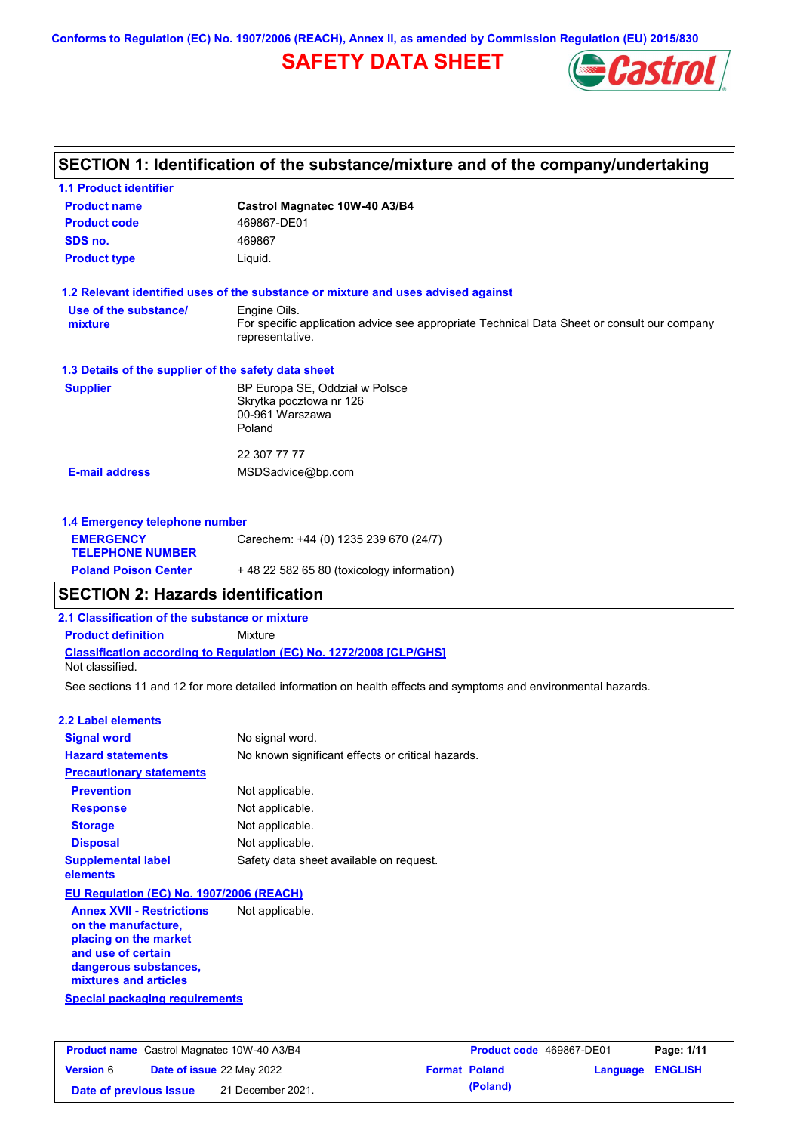# **SAFETY DATA SHEET**



### **SECTION 1: Identification of the substance/mixture and of the company/undertaking**

| <b>1.1 Product identifier</b>                        |                                                                                                                |
|------------------------------------------------------|----------------------------------------------------------------------------------------------------------------|
| <b>Product name</b>                                  | Castrol Magnatec 10W-40 A3/B4                                                                                  |
| <b>Product code</b>                                  | 469867-DE01                                                                                                    |
| SDS no.                                              | 469867                                                                                                         |
| <b>Product type</b>                                  | Liquid.                                                                                                        |
|                                                      | 1.2 Relevant identified uses of the substance or mixture and uses advised against                              |
| Use of the substance/                                | Engine Oils.                                                                                                   |
| mixture                                              | For specific application advice see appropriate Technical Data Sheet or consult our company<br>representative. |
| 1.3 Details of the supplier of the safety data sheet |                                                                                                                |
| <b>Supplier</b>                                      | BP Europa SE, Oddział w Polsce<br>Skrytka pocztowa nr 126<br>00-961 Warszawa<br>Poland                         |
|                                                      | 22 307 77 77                                                                                                   |
| <b>E-mail address</b>                                | MSDSadvice@bp.com                                                                                              |
| 1.4 Emergency telephone number                       |                                                                                                                |
| <b>EMERGENCY</b><br><b>TELEPHONE NUMBER</b>          | Carechem: +44 (0) 1235 239 670 (24/7)                                                                          |
| <b>Poland Poison Center</b>                          | +48 22 582 65 80 (toxicology information)                                                                      |

### **SECTION 2: Hazards identification**

**2.1 Classification of the substance or mixture**

**Product definition** Mixture

**Classification according to Regulation (EC) No. 1272/2008 [CLP/GHS]** Not classified.

See sections 11 and 12 for more detailed information on health effects and symptoms and environmental hazards.

#### **2.2 Label elements**

| <b>Signal word</b>                       | No signal word.                                   |  |  |  |
|------------------------------------------|---------------------------------------------------|--|--|--|
| <b>Hazard statements</b>                 | No known significant effects or critical hazards. |  |  |  |
| <b>Precautionary statements</b>          |                                                   |  |  |  |
| <b>Prevention</b>                        | Not applicable.                                   |  |  |  |
| <b>Response</b>                          | Not applicable.                                   |  |  |  |
| <b>Storage</b>                           | Not applicable.                                   |  |  |  |
| <b>Disposal</b>                          | Not applicable.                                   |  |  |  |
| <b>Supplemental label</b><br>elements    | Safety data sheet available on request.           |  |  |  |
| EU Regulation (EC) No. 1907/2006 (REACH) |                                                   |  |  |  |

**Annex XVII - Restrictions on the manufacture, placing on the market and use of certain dangerous substances, mixtures and articles** Not applicable.

**Special packaging requirements**

| <b>Product name</b> Castrol Magnatec 10W-40 A3/B4 |  | <b>Product code</b> 469867-DE01  |  | Page: 1/11           |                         |  |
|---------------------------------------------------|--|----------------------------------|--|----------------------|-------------------------|--|
| <b>Version 6</b>                                  |  | <b>Date of issue 22 May 2022</b> |  | <b>Format Poland</b> | <b>Language ENGLISH</b> |  |
| Date of previous issue                            |  | 21 December 2021.                |  | (Poland)             |                         |  |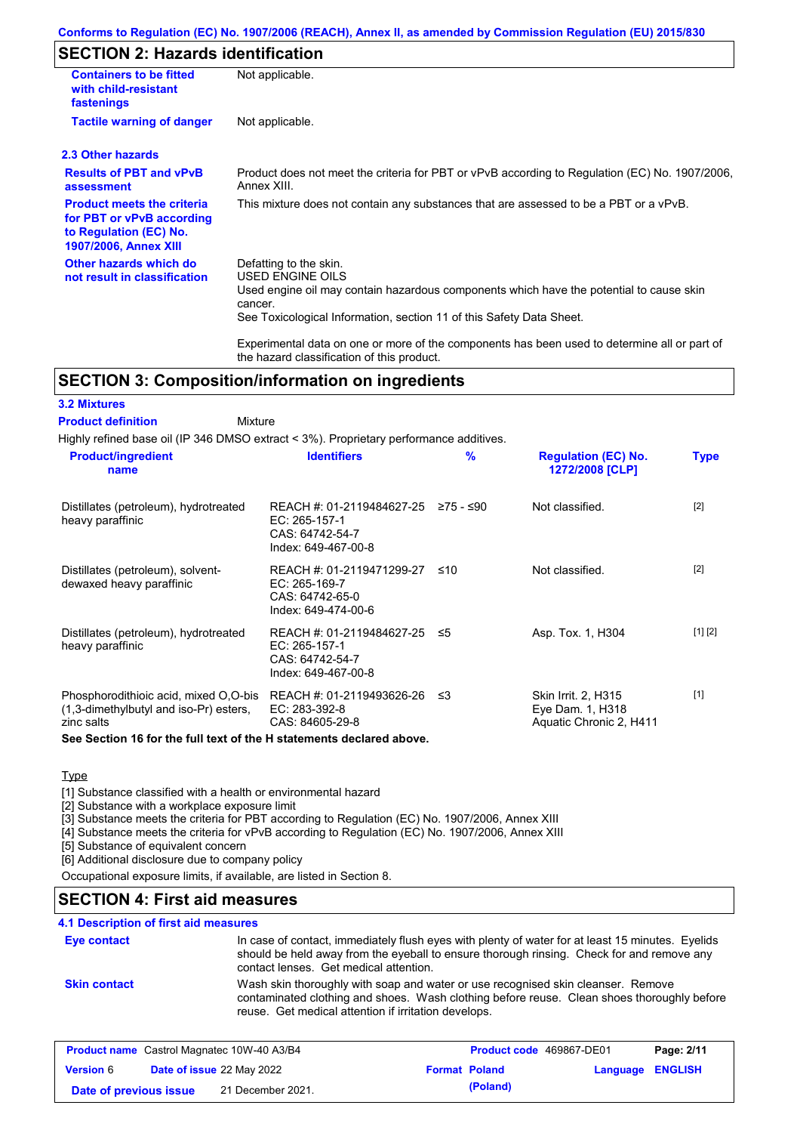### **SECTION 2: Hazards identification**

| <b>Containers to be fitted</b><br>with child-resistant<br>fastenings                                                     | Not applicable.                                                                                                                                                                                                          |
|--------------------------------------------------------------------------------------------------------------------------|--------------------------------------------------------------------------------------------------------------------------------------------------------------------------------------------------------------------------|
| <b>Tactile warning of danger</b>                                                                                         | Not applicable.                                                                                                                                                                                                          |
| 2.3 Other hazards                                                                                                        |                                                                                                                                                                                                                          |
| <b>Results of PBT and vPvB</b><br>assessment                                                                             | Product does not meet the criteria for PBT or vPvB according to Regulation (EC) No. 1907/2006,<br>Annex XIII.                                                                                                            |
| <b>Product meets the criteria</b><br>for PBT or vPvB according<br>to Regulation (EC) No.<br><b>1907/2006, Annex XIII</b> | This mixture does not contain any substances that are assessed to be a PBT or a vPvB.                                                                                                                                    |
| Other hazards which do<br>not result in classification                                                                   | Defatting to the skin.<br>USED ENGINE OILS<br>Used engine oil may contain hazardous components which have the potential to cause skin<br>cancer.<br>See Toxicological Information, section 11 of this Safety Data Sheet. |
|                                                                                                                          | Experimental data on one or more of the components has been used to determine all or part of                                                                                                                             |

### **SECTION 3: Composition/information on ingredients**

#### **3.2 Mixtures**

#### Mixture **Product definition**

Highly refined base oil (IP 346 DMSO extract < 3%). Proprietary performance additives.

the hazard classification of this product.

| <b>Product/ingredient</b><br>name                                                             | <b>Identifiers</b>                                                                      | $\frac{9}{6}$ | <b>Regulation (EC) No.</b><br>1272/2008 [CLP]                      | <b>Type</b> |
|-----------------------------------------------------------------------------------------------|-----------------------------------------------------------------------------------------|---------------|--------------------------------------------------------------------|-------------|
| Distillates (petroleum), hydrotreated<br>heavy paraffinic                                     | REACH #: 01-2119484627-25<br>EC: 265-157-1<br>CAS: 64742-54-7<br>Index: 649-467-00-8    | ≥75 - ≤90     | Not classified.                                                    | $[2]$       |
| Distillates (petroleum), solvent-<br>dewaxed heavy paraffinic                                 | REACH #: 01-2119471299-27<br>EC: 265-169-7<br>CAS: 64742-65-0<br>Index: 649-474-00-6    | ≤10           | Not classified.                                                    | $[2]$       |
| Distillates (petroleum), hydrotreated<br>heavy paraffinic                                     | REACH #: 01-2119484627-25 ≤5<br>EC: 265-157-1<br>CAS: 64742-54-7<br>Index: 649-467-00-8 |               | Asp. Tox. 1, H304                                                  | [1] [2]     |
| Phosphorodithioic acid, mixed O.O-bis<br>(1,3-dimethylbutyl and iso-Pr) esters,<br>zinc salts | REACH #: 01-2119493626-26<br>EC: 283-392-8<br>CAS: 84605-29-8                           | -≤3           | Skin Irrit. 2, H315<br>Eye Dam. 1, H318<br>Aquatic Chronic 2, H411 | $[1]$       |

#### **See Section 16 for the full text of the H statements declared above.**

### **Type**

[1] Substance classified with a health or environmental hazard

[2] Substance with a workplace exposure limit

[3] Substance meets the criteria for PBT according to Regulation (EC) No. 1907/2006, Annex XIII

[4] Substance meets the criteria for vPvB according to Regulation (EC) No. 1907/2006, Annex XIII

[5] Substance of equivalent concern

[6] Additional disclosure due to company policy

Occupational exposure limits, if available, are listed in Section 8.

### **SECTION 4: First aid measures**

### **4.1 Description of first aid measures**

| <b>Eye contact</b>  | In case of contact, immediately flush eyes with plenty of water for at least 15 minutes. Eyelids<br>should be held away from the eyeball to ensure thorough rinsing. Check for and remove any<br>contact lenses. Get medical attention. |
|---------------------|-----------------------------------------------------------------------------------------------------------------------------------------------------------------------------------------------------------------------------------------|
| <b>Skin contact</b> | Wash skin thoroughly with soap and water or use recognised skin cleanser. Remove<br>contaminated clothing and shoes. Wash clothing before reuse. Clean shoes thoroughly before<br>reuse. Get medical attention if irritation develops.  |

| <b>Product name</b> Castrol Magnatec 10W-40 A3/B4 |  | <b>Product code</b> 469867-DE01  |                      | Page: 2/11 |                         |  |
|---------------------------------------------------|--|----------------------------------|----------------------|------------|-------------------------|--|
| <b>Version</b> 6                                  |  | <b>Date of issue 22 May 2022</b> | <b>Format Poland</b> |            | <b>Language ENGLISH</b> |  |
| Date of previous issue                            |  | 21 December 2021.                |                      | (Poland)   |                         |  |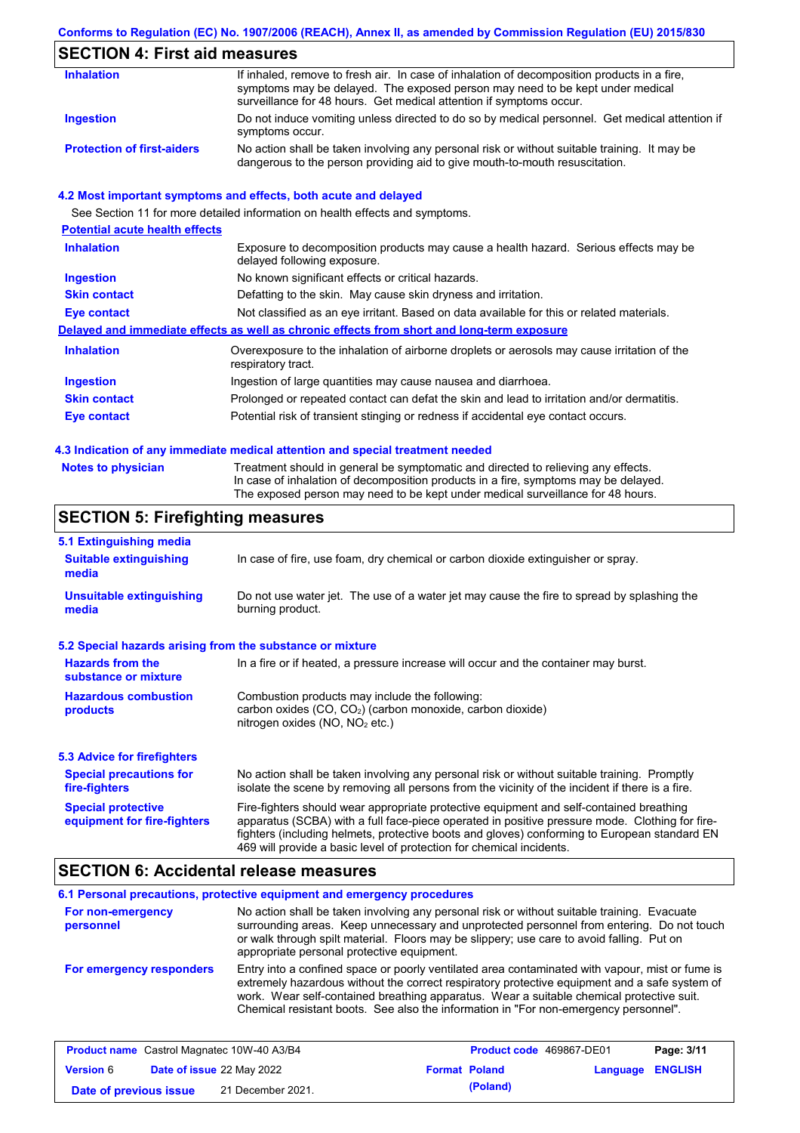### **SECTION 4: First aid measures**

| <b>Inhalation</b>                 | If inhaled, remove to fresh air. In case of inhalation of decomposition products in a fire,<br>symptoms may be delayed. The exposed person may need to be kept under medical<br>surveillance for 48 hours. Get medical attention if symptoms occur. |
|-----------------------------------|-----------------------------------------------------------------------------------------------------------------------------------------------------------------------------------------------------------------------------------------------------|
| Ingestion                         | Do not induce vomiting unless directed to do so by medical personnel. Get medical attention if<br>symptoms occur.                                                                                                                                   |
| <b>Protection of first-aiders</b> | No action shall be taken involving any personal risk or without suitable training. It may be<br>dangerous to the person providing aid to give mouth-to-mouth resuscitation.                                                                         |

#### **4.2 Most important symptoms and effects, both acute and delayed**

See Section 11 for more detailed information on health effects and symptoms. **Potential acute health effects Inhalation** Exposure to decomposition products may cause a health hazard. Serious effects may be delayed following exposure. **Ingestion** No known significant effects or critical hazards. **Skin contact** Defatting to the skin. May cause skin dryness and irritation. **Eye contact** Not classified as an eye irritant. Based on data available for this or related materials. **Delayed and immediate effects as well as chronic effects from short and long-term exposure Inhalation Ingestion Skin contact Eye contact** Overexposure to the inhalation of airborne droplets or aerosols may cause irritation of the respiratory tract. Ingestion of large quantities may cause nausea and diarrhoea. Prolonged or repeated contact can defat the skin and lead to irritation and/or dermatitis. Potential risk of transient stinging or redness if accidental eye contact occurs.

#### **4.3 Indication of any immediate medical attention and special treatment needed**

Treatment should in general be symptomatic and directed to relieving any effects. In case of inhalation of decomposition products in a fire, symptoms may be delayed. The exposed person may need to be kept under medical surveillance for 48 hours.

### **SECTION 5: Firefighting measures**

| 5.1 Extinguishing media                                                                                                                                                                                                                                                                                                                                                                                                       |                                                                                  |  |  |  |
|-------------------------------------------------------------------------------------------------------------------------------------------------------------------------------------------------------------------------------------------------------------------------------------------------------------------------------------------------------------------------------------------------------------------------------|----------------------------------------------------------------------------------|--|--|--|
| <b>Suitable extinguishing</b><br>media                                                                                                                                                                                                                                                                                                                                                                                        | In case of fire, use foam, dry chemical or carbon dioxide extinguisher or spray. |  |  |  |
| Do not use water jet. The use of a water jet may cause the fire to spread by splashing the<br><b>Unsuitable extinguishing</b><br>burning product.<br>media                                                                                                                                                                                                                                                                    |                                                                                  |  |  |  |
| 5.2 Special hazards arising from the substance or mixture                                                                                                                                                                                                                                                                                                                                                                     |                                                                                  |  |  |  |
| <b>Hazards from the</b><br>In a fire or if heated, a pressure increase will occur and the container may burst.<br>substance or mixture                                                                                                                                                                                                                                                                                        |                                                                                  |  |  |  |
| <b>Hazardous combustion</b><br>Combustion products may include the following:<br>carbon oxides (CO, CO <sub>2</sub> ) (carbon monoxide, carbon dioxide)<br>products<br>nitrogen oxides ( $NO$ , $NO2$ etc.)                                                                                                                                                                                                                   |                                                                                  |  |  |  |
| <b>5.3 Advice for firefighters</b>                                                                                                                                                                                                                                                                                                                                                                                            |                                                                                  |  |  |  |
| No action shall be taken involving any personal risk or without suitable training. Promptly<br><b>Special precautions for</b><br>isolate the scene by removing all persons from the vicinity of the incident if there is a fire.<br>fire-fighters                                                                                                                                                                             |                                                                                  |  |  |  |
| <b>Special protective</b><br>Fire-fighters should wear appropriate protective equipment and self-contained breathing<br>apparatus (SCBA) with a full face-piece operated in positive pressure mode. Clothing for fire-<br>equipment for fire-fighters<br>fighters (including helmets, protective boots and gloves) conforming to European standard EN<br>469 will provide a basic level of protection for chemical incidents. |                                                                                  |  |  |  |

### **SECTION 6: Accidental release measures**

#### **6.1 Personal precautions, protective equipment and emergency procedures For non-emergency personnel For emergency responders** No action shall be taken involving any personal risk or without suitable training. Evacuate surrounding areas. Keep unnecessary and unprotected personnel from entering. Do not touch or walk through spilt material. Floors may be slippery; use care to avoid falling. Put on appropriate personal protective equipment. Entry into a confined space or poorly ventilated area contaminated with vapour, mist or fume is extremely hazardous without the correct respiratory protective equipment and a safe system of work. Wear self-contained breathing apparatus. Wear a suitable chemical protective suit. Chemical resistant boots. See also the information in "For non-emergency personnel".

| <b>Product name</b> Castrol Magnatec 10W-40 A3/B4 |                           | <b>Product code</b> 469867-DE01 |  | Page: 3/11           |                  |  |
|---------------------------------------------------|---------------------------|---------------------------------|--|----------------------|------------------|--|
| <b>Version 6</b>                                  | Date of issue 22 May 2022 |                                 |  | <b>Format Poland</b> | Language ENGLISH |  |
| Date of previous issue                            |                           | 21 December 2021.               |  | (Poland)             |                  |  |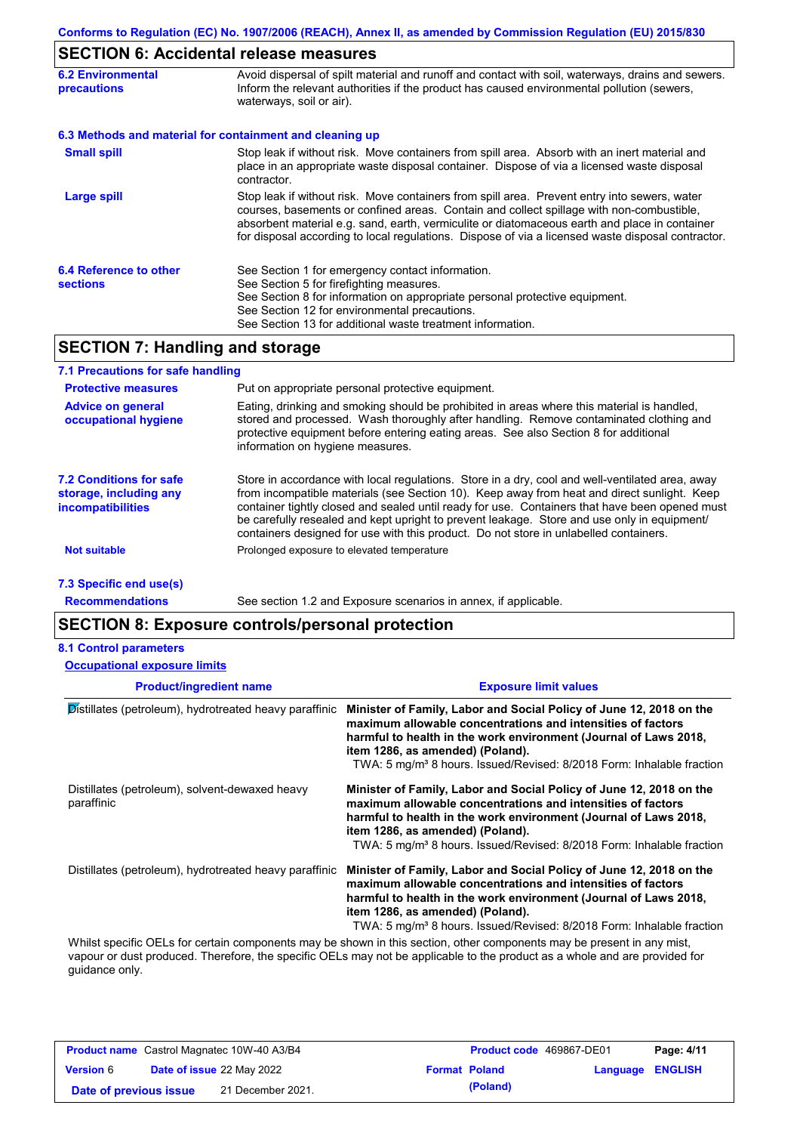# **SECTION 6: Accidental release measures**

| <b>6.2 Environmental</b><br>precautions   | Avoid dispersal of spilt material and runoff and contact with soil, waterways, drains and sewers.<br>Inform the relevant authorities if the product has caused environmental pollution (sewers,<br>waterways, soil or air).                                                                                                                                                                    |  |  |
|-------------------------------------------|------------------------------------------------------------------------------------------------------------------------------------------------------------------------------------------------------------------------------------------------------------------------------------------------------------------------------------------------------------------------------------------------|--|--|
|                                           | 6.3 Methods and material for containment and cleaning up                                                                                                                                                                                                                                                                                                                                       |  |  |
| <b>Small spill</b>                        | Stop leak if without risk. Move containers from spill area. Absorb with an inert material and<br>place in an appropriate waste disposal container. Dispose of via a licensed waste disposal<br>contractor.                                                                                                                                                                                     |  |  |
| <b>Large spill</b>                        | Stop leak if without risk. Move containers from spill area. Prevent entry into sewers, water<br>courses, basements or confined areas. Contain and collect spillage with non-combustible,<br>absorbent material e.g. sand, earth, vermiculite or diatomaceous earth and place in container<br>for disposal according to local regulations. Dispose of via a licensed waste disposal contractor. |  |  |
| 6.4 Reference to other<br><b>sections</b> | See Section 1 for emergency contact information.<br>See Section 5 for firefighting measures.<br>See Section 8 for information on appropriate personal protective equipment.<br>See Section 12 for environmental precautions.<br>See Section 13 for additional waste treatment information.                                                                                                     |  |  |

## **SECTION 7: Handling and storage**

| 7.1 Precautions for safe handling                                                    |                                                                                                                                                                                                                                                                                                                                                                                                                                                                                          |
|--------------------------------------------------------------------------------------|------------------------------------------------------------------------------------------------------------------------------------------------------------------------------------------------------------------------------------------------------------------------------------------------------------------------------------------------------------------------------------------------------------------------------------------------------------------------------------------|
| <b>Protective measures</b>                                                           | Put on appropriate personal protective equipment.                                                                                                                                                                                                                                                                                                                                                                                                                                        |
| <b>Advice on general</b><br>occupational hygiene                                     | Eating, drinking and smoking should be prohibited in areas where this material is handled,<br>stored and processed. Wash thoroughly after handling. Remove contaminated clothing and<br>protective equipment before entering eating areas. See also Section 8 for additional<br>information on hygiene measures.                                                                                                                                                                         |
| <b>7.2 Conditions for safe</b><br>storage, including any<br><b>incompatibilities</b> | Store in accordance with local regulations. Store in a dry, cool and well-ventilated area, away<br>from incompatible materials (see Section 10). Keep away from heat and direct sunlight. Keep<br>container tightly closed and sealed until ready for use. Containers that have been opened must<br>be carefully resealed and kept upright to prevent leakage. Store and use only in equipment/<br>containers designed for use with this product. Do not store in unlabelled containers. |
| <b>Not suitable</b>                                                                  | Prolonged exposure to elevated temperature                                                                                                                                                                                                                                                                                                                                                                                                                                               |
| 7.3 Specific end use(s)                                                              |                                                                                                                                                                                                                                                                                                                                                                                                                                                                                          |

**Recommendations**

See section 1.2 and Exposure scenarios in annex, if applicable.

### **SECTION 8: Exposure controls/personal protection**

#### **8.1 Control parameters**

**Occupational exposure limits**

| <b>Exposure limit values</b>                                                                                                                                                                                                                                                                                                    |  |  |
|---------------------------------------------------------------------------------------------------------------------------------------------------------------------------------------------------------------------------------------------------------------------------------------------------------------------------------|--|--|
| Minister of Family, Labor and Social Policy of June 12, 2018 on the<br>maximum allowable concentrations and intensities of factors<br>harmful to health in the work environment (Journal of Laws 2018,<br>item 1286, as amended) (Poland).<br>TWA: 5 mg/m <sup>3</sup> 8 hours. Issued/Revised: 8/2018 Form: Inhalable fraction |  |  |
| Minister of Family, Labor and Social Policy of June 12, 2018 on the<br>maximum allowable concentrations and intensities of factors<br>harmful to health in the work environment (Journal of Laws 2018,<br>item 1286, as amended) (Poland).<br>TWA: 5 mg/m <sup>3</sup> 8 hours. Issued/Revised: 8/2018 Form: Inhalable fraction |  |  |
| Minister of Family, Labor and Social Policy of June 12, 2018 on the<br>maximum allowable concentrations and intensities of factors<br>harmful to health in the work environment (Journal of Laws 2018,<br>item 1286, as amended) (Poland).<br>TWA: 5 mg/m <sup>3</sup> 8 hours. Issued/Revised: 8/2018 Form: Inhalable fraction |  |  |
| Whilet apositio OFLe for certain companents may be about in this section, other companents may be present in ony mist                                                                                                                                                                                                           |  |  |

Whilst specific OELs for certain components may be shown in this section, other components may be present in any mist, vapour or dust produced. Therefore, the specific OELs may not be applicable to the product as a whole and are provided for guidance only.

|                        | <b>Product name</b> Castrol Magnatec 10W-40 A3/B4 | <b>Product code</b> 469867-DE01 |                  | Page: 4/11 |
|------------------------|---------------------------------------------------|---------------------------------|------------------|------------|
| <b>Version</b> 6       | <b>Date of issue 22 May 2022</b>                  | <b>Format Poland</b>            | Language ENGLISH |            |
| Date of previous issue | 21 December 2021.                                 | (Poland)                        |                  |            |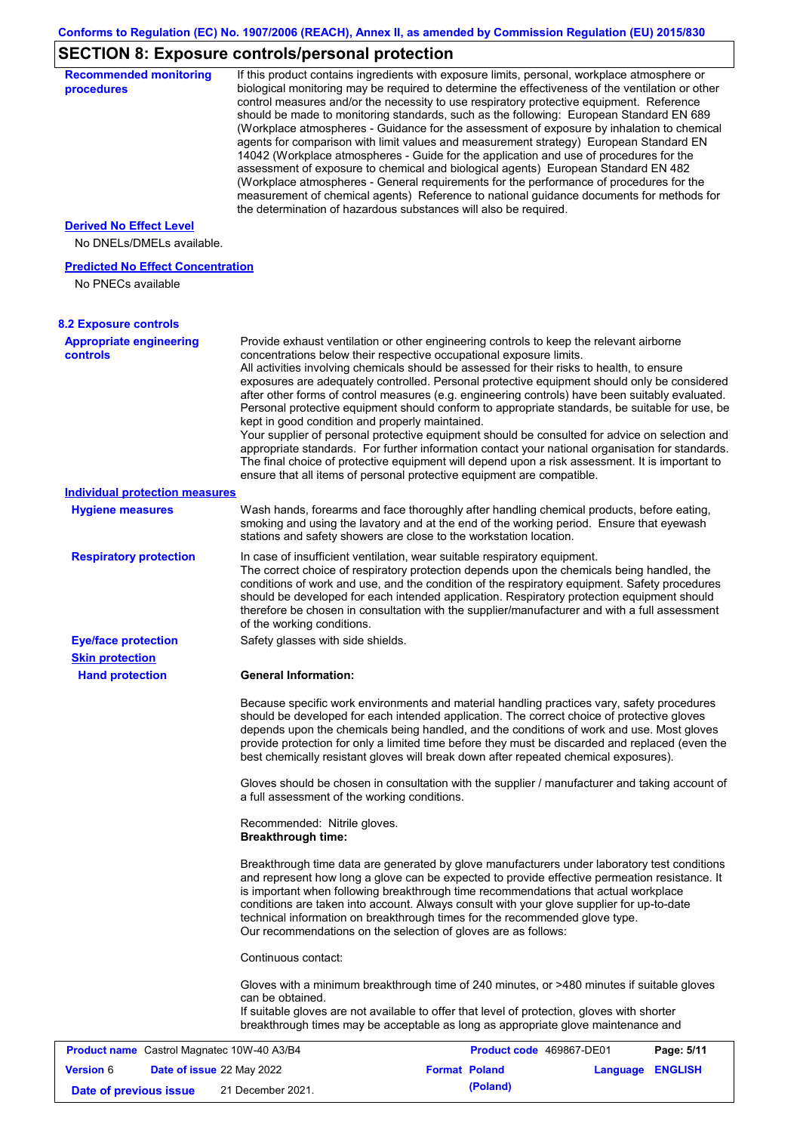# **SECTION 8: Exposure controls/personal protection**

| <b>Recommended monitoring</b><br>procedures                 |                                                           | If this product contains ingredients with exposure limits, personal, workplace atmosphere or<br>biological monitoring may be required to determine the effectiveness of the ventilation or other<br>control measures and/or the necessity to use respiratory protective equipment. Reference<br>should be made to monitoring standards, such as the following: European Standard EN 689<br>(Workplace atmospheres - Guidance for the assessment of exposure by inhalation to chemical<br>agents for comparison with limit values and measurement strategy) European Standard EN<br>14042 (Workplace atmospheres - Guide for the application and use of procedures for the<br>assessment of exposure to chemical and biological agents) European Standard EN 482<br>(Workplace atmospheres - General requirements for the performance of procedures for the<br>measurement of chemical agents) Reference to national guidance documents for methods for<br>the determination of hazardous substances will also be required. |          |                |
|-------------------------------------------------------------|-----------------------------------------------------------|----------------------------------------------------------------------------------------------------------------------------------------------------------------------------------------------------------------------------------------------------------------------------------------------------------------------------------------------------------------------------------------------------------------------------------------------------------------------------------------------------------------------------------------------------------------------------------------------------------------------------------------------------------------------------------------------------------------------------------------------------------------------------------------------------------------------------------------------------------------------------------------------------------------------------------------------------------------------------------------------------------------------------|----------|----------------|
| <b>Derived No Effect Level</b><br>No DNELs/DMELs available. |                                                           |                                                                                                                                                                                                                                                                                                                                                                                                                                                                                                                                                                                                                                                                                                                                                                                                                                                                                                                                                                                                                            |          |                |
| <b>Predicted No Effect Concentration</b>                    |                                                           |                                                                                                                                                                                                                                                                                                                                                                                                                                                                                                                                                                                                                                                                                                                                                                                                                                                                                                                                                                                                                            |          |                |
| No PNECs available                                          |                                                           |                                                                                                                                                                                                                                                                                                                                                                                                                                                                                                                                                                                                                                                                                                                                                                                                                                                                                                                                                                                                                            |          |                |
| <b>8.2 Exposure controls</b>                                |                                                           |                                                                                                                                                                                                                                                                                                                                                                                                                                                                                                                                                                                                                                                                                                                                                                                                                                                                                                                                                                                                                            |          |                |
| <b>Appropriate engineering</b><br><b>controls</b>           | kept in good condition and properly maintained.           | Provide exhaust ventilation or other engineering controls to keep the relevant airborne<br>concentrations below their respective occupational exposure limits.<br>All activities involving chemicals should be assessed for their risks to health, to ensure<br>exposures are adequately controlled. Personal protective equipment should only be considered<br>after other forms of control measures (e.g. engineering controls) have been suitably evaluated.<br>Personal protective equipment should conform to appropriate standards, be suitable for use, be<br>Your supplier of personal protective equipment should be consulted for advice on selection and<br>appropriate standards. For further information contact your national organisation for standards.<br>The final choice of protective equipment will depend upon a risk assessment. It is important to<br>ensure that all items of personal protective equipment are compatible.                                                                       |          |                |
| <b>Individual protection measures</b>                       |                                                           |                                                                                                                                                                                                                                                                                                                                                                                                                                                                                                                                                                                                                                                                                                                                                                                                                                                                                                                                                                                                                            |          |                |
| <b>Hygiene measures</b>                                     |                                                           | Wash hands, forearms and face thoroughly after handling chemical products, before eating,<br>smoking and using the lavatory and at the end of the working period. Ensure that eyewash<br>stations and safety showers are close to the workstation location.                                                                                                                                                                                                                                                                                                                                                                                                                                                                                                                                                                                                                                                                                                                                                                |          |                |
| <b>Respiratory protection</b>                               | of the working conditions.                                | In case of insufficient ventilation, wear suitable respiratory equipment.<br>The correct choice of respiratory protection depends upon the chemicals being handled, the<br>conditions of work and use, and the condition of the respiratory equipment. Safety procedures<br>should be developed for each intended application. Respiratory protection equipment should<br>therefore be chosen in consultation with the supplier/manufacturer and with a full assessment                                                                                                                                                                                                                                                                                                                                                                                                                                                                                                                                                    |          |                |
| <b>Eye/face protection</b><br><b>Skin protection</b>        | Safety glasses with side shields.                         |                                                                                                                                                                                                                                                                                                                                                                                                                                                                                                                                                                                                                                                                                                                                                                                                                                                                                                                                                                                                                            |          |                |
| <b>Hand protection</b>                                      | <b>General Information:</b>                               |                                                                                                                                                                                                                                                                                                                                                                                                                                                                                                                                                                                                                                                                                                                                                                                                                                                                                                                                                                                                                            |          |                |
|                                                             |                                                           | Because specific work environments and material handling practices vary, safety procedures<br>should be developed for each intended application. The correct choice of protective gloves<br>depends upon the chemicals being handled, and the conditions of work and use. Most gloves<br>provide protection for only a limited time before they must be discarded and replaced (even the<br>best chemically resistant gloves will break down after repeated chemical exposures).<br>Gloves should be chosen in consultation with the supplier / manufacturer and taking account of                                                                                                                                                                                                                                                                                                                                                                                                                                         |          |                |
|                                                             | a full assessment of the working conditions.              |                                                                                                                                                                                                                                                                                                                                                                                                                                                                                                                                                                                                                                                                                                                                                                                                                                                                                                                                                                                                                            |          |                |
|                                                             | Recommended: Nitrile gloves.<br><b>Breakthrough time:</b> |                                                                                                                                                                                                                                                                                                                                                                                                                                                                                                                                                                                                                                                                                                                                                                                                                                                                                                                                                                                                                            |          |                |
|                                                             |                                                           | Breakthrough time data are generated by glove manufacturers under laboratory test conditions<br>and represent how long a glove can be expected to provide effective permeation resistance. It<br>is important when following breakthrough time recommendations that actual workplace<br>conditions are taken into account. Always consult with your glove supplier for up-to-date<br>technical information on breakthrough times for the recommended glove type.<br>Our recommendations on the selection of gloves are as follows:                                                                                                                                                                                                                                                                                                                                                                                                                                                                                         |          |                |
|                                                             | Continuous contact:                                       |                                                                                                                                                                                                                                                                                                                                                                                                                                                                                                                                                                                                                                                                                                                                                                                                                                                                                                                                                                                                                            |          |                |
|                                                             | can be obtained.                                          | Gloves with a minimum breakthrough time of 240 minutes, or >480 minutes if suitable gloves<br>If suitable gloves are not available to offer that level of protection, gloves with shorter<br>breakthrough times may be acceptable as long as appropriate glove maintenance and                                                                                                                                                                                                                                                                                                                                                                                                                                                                                                                                                                                                                                                                                                                                             |          |                |
| <b>Product name</b> Castrol Magnatec 10W-40 A3/B4           |                                                           | Product code 469867-DE01                                                                                                                                                                                                                                                                                                                                                                                                                                                                                                                                                                                                                                                                                                                                                                                                                                                                                                                                                                                                   |          | Page: 5/11     |
| <b>Version 6</b><br>Date of issue 22 May 2022               |                                                           | <b>Format Poland</b>                                                                                                                                                                                                                                                                                                                                                                                                                                                                                                                                                                                                                                                                                                                                                                                                                                                                                                                                                                                                       | Language | <b>ENGLISH</b> |
| Date of previous issue                                      | 21 December 2021.                                         | (Poland)                                                                                                                                                                                                                                                                                                                                                                                                                                                                                                                                                                                                                                                                                                                                                                                                                                                                                                                                                                                                                   |          |                |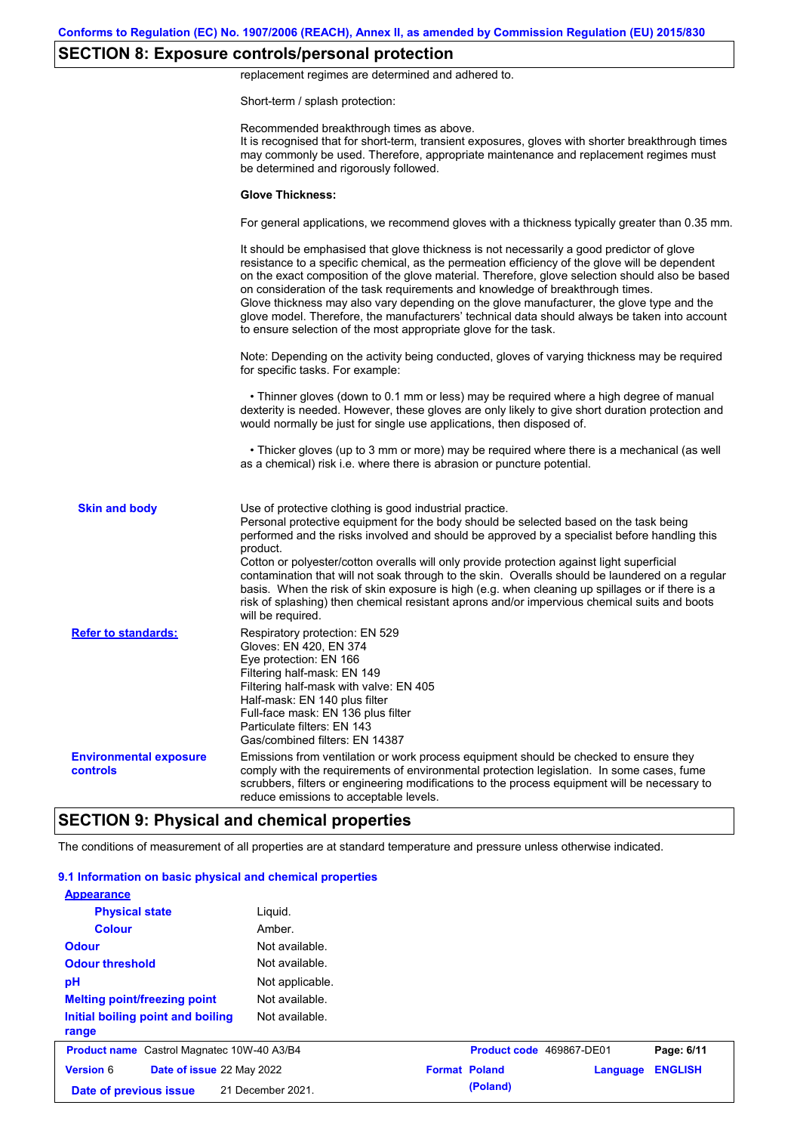## **SECTION 8: Exposure controls/personal protection**

replacement regimes are determined and adhered to.

Short-term / splash protection:

|                                           | Recommended breakthrough times as above.<br>It is recognised that for short-term, transient exposures, gloves with shorter breakthrough times<br>may commonly be used. Therefore, appropriate maintenance and replacement regimes must<br>be determined and rigorously followed.                                                                                                                                                                                                                                                                                                                                                                                                      |
|-------------------------------------------|---------------------------------------------------------------------------------------------------------------------------------------------------------------------------------------------------------------------------------------------------------------------------------------------------------------------------------------------------------------------------------------------------------------------------------------------------------------------------------------------------------------------------------------------------------------------------------------------------------------------------------------------------------------------------------------|
|                                           | <b>Glove Thickness:</b>                                                                                                                                                                                                                                                                                                                                                                                                                                                                                                                                                                                                                                                               |
|                                           | For general applications, we recommend gloves with a thickness typically greater than 0.35 mm.                                                                                                                                                                                                                                                                                                                                                                                                                                                                                                                                                                                        |
|                                           | It should be emphasised that glove thickness is not necessarily a good predictor of glove<br>resistance to a specific chemical, as the permeation efficiency of the glove will be dependent<br>on the exact composition of the glove material. Therefore, glove selection should also be based<br>on consideration of the task requirements and knowledge of breakthrough times.<br>Glove thickness may also vary depending on the glove manufacturer, the glove type and the<br>glove model. Therefore, the manufacturers' technical data should always be taken into account<br>to ensure selection of the most appropriate glove for the task.                                     |
|                                           | Note: Depending on the activity being conducted, gloves of varying thickness may be required<br>for specific tasks. For example:                                                                                                                                                                                                                                                                                                                                                                                                                                                                                                                                                      |
|                                           | • Thinner gloves (down to 0.1 mm or less) may be required where a high degree of manual<br>dexterity is needed. However, these gloves are only likely to give short duration protection and<br>would normally be just for single use applications, then disposed of.                                                                                                                                                                                                                                                                                                                                                                                                                  |
|                                           | • Thicker gloves (up to 3 mm or more) may be required where there is a mechanical (as well<br>as a chemical) risk i.e. where there is abrasion or puncture potential.                                                                                                                                                                                                                                                                                                                                                                                                                                                                                                                 |
| <b>Skin and body</b>                      | Use of protective clothing is good industrial practice.<br>Personal protective equipment for the body should be selected based on the task being<br>performed and the risks involved and should be approved by a specialist before handling this<br>product.<br>Cotton or polyester/cotton overalls will only provide protection against light superficial<br>contamination that will not soak through to the skin. Overalls should be laundered on a regular<br>basis. When the risk of skin exposure is high (e.g. when cleaning up spillages or if there is a<br>risk of splashing) then chemical resistant aprons and/or impervious chemical suits and boots<br>will be required. |
| <b>Refer to standards:</b>                | Respiratory protection: EN 529<br>Gloves: EN 420, EN 374<br>Eye protection: EN 166<br>Filtering half-mask: EN 149<br>Filtering half-mask with valve: EN 405<br>Half-mask: EN 140 plus filter<br>Full-face mask: EN 136 plus filter<br>Particulate filters: EN 143<br>Gas/combined filters: EN 14387                                                                                                                                                                                                                                                                                                                                                                                   |
| <b>Environmental exposure</b><br>controls | Emissions from ventilation or work process equipment should be checked to ensure they<br>comply with the requirements of environmental protection legislation. In some cases, fume<br>scrubbers, filters or engineering modifications to the process equipment will be necessary to<br>reduce emissions to acceptable levels.                                                                                                                                                                                                                                                                                                                                                         |
|                                           | <b>SECTION 9: Physical and chemical properties</b>                                                                                                                                                                                                                                                                                                                                                                                                                                                                                                                                                                                                                                    |

### The conditions of measurement of all properties are at standard temperature and pressure unless otherwise indicated.

| 9.1 Information on basic physical and chemical properties |                   |                          |          |                |
|-----------------------------------------------------------|-------------------|--------------------------|----------|----------------|
| <b>Appearance</b><br><b>Physical state</b>                | Liquid.           |                          |          |                |
| <b>Colour</b>                                             | Amber.            |                          |          |                |
| <b>Odour</b>                                              | Not available.    |                          |          |                |
| <b>Odour threshold</b>                                    | Not available.    |                          |          |                |
| pH                                                        | Not applicable.   |                          |          |                |
| <b>Melting point/freezing point</b>                       | Not available.    |                          |          |                |
| Initial boiling point and boiling<br>range                | Not available.    |                          |          |                |
| <b>Product name</b> Castrol Magnatec 10W-40 A3/B4         |                   | Product code 469867-DE01 |          | Page: 6/11     |
| <b>Version 6</b><br>Date of issue 22 May 2022             |                   | <b>Format Poland</b>     | Language | <b>ENGLISH</b> |
| Date of previous issue                                    | 21 December 2021. | (Poland)                 |          |                |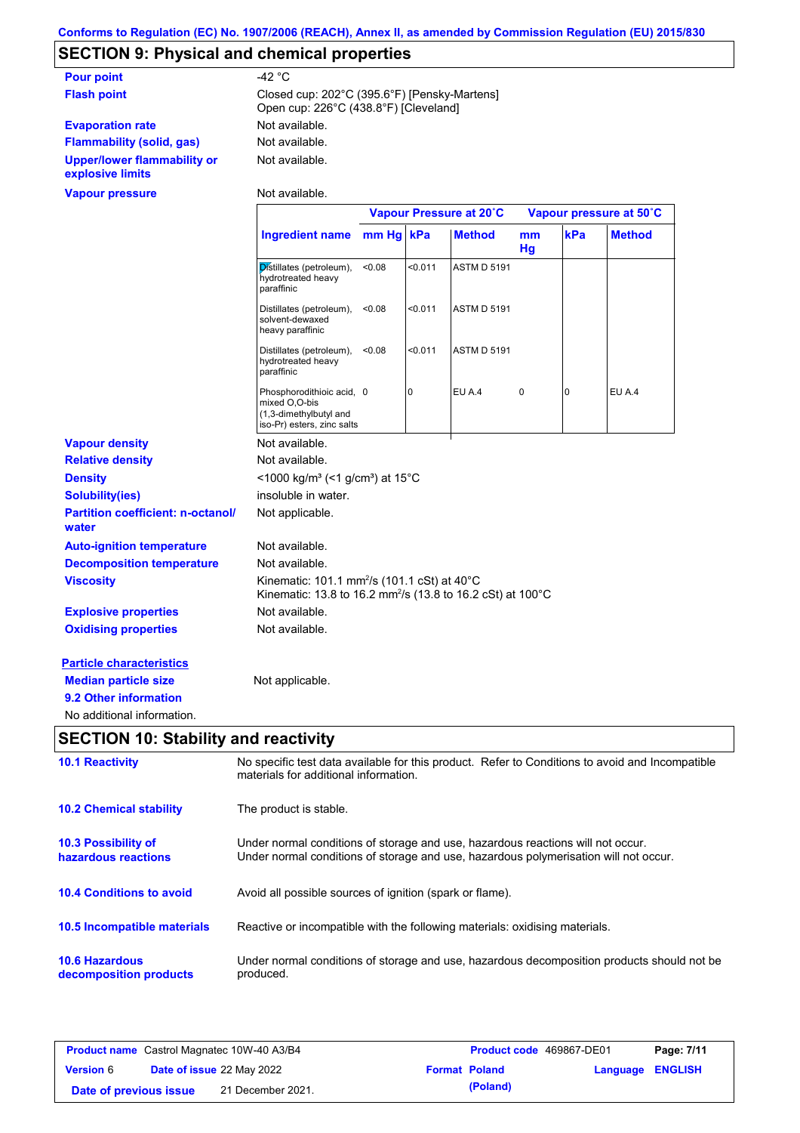# **SECTION 9: Physical and chemical properties**

| -42 °C                                                                                |
|---------------------------------------------------------------------------------------|
| Closed cup: 202°C (395.6°F) [Pensky-Martens]<br>Open cup: 226°C (438.8°F) [Cleveland] |
| Not available.                                                                        |
| Not available.                                                                        |
| Not available.                                                                        |
|                                                                                       |

**Vapour pressure**

Not available.

|                                                   |                                                                                                                                              | Vapour Pressure at 20°C |         |                    | Vapour pressure at 50°C |          |               |
|---------------------------------------------------|----------------------------------------------------------------------------------------------------------------------------------------------|-------------------------|---------|--------------------|-------------------------|----------|---------------|
|                                                   | <b>Ingredient name</b>                                                                                                                       | mm Hg kPa               |         | <b>Method</b>      | mm<br>Hg                | kPa      | <b>Method</b> |
|                                                   | Distillates (petroleum),<br>hydrotreated heavy<br>paraffinic                                                                                 | < 0.08                  | < 0.011 | <b>ASTM D 5191</b> |                         |          |               |
|                                                   | Distillates (petroleum),<br>solvent-dewaxed<br>heavy paraffinic                                                                              | < 0.08                  | < 0.011 | <b>ASTM D 5191</b> |                         |          |               |
|                                                   | Distillates (petroleum),<br>hydrotreated heavy<br>paraffinic                                                                                 | < 0.08                  | < 0.011 | <b>ASTM D 5191</b> |                         |          |               |
|                                                   | Phosphorodithioic acid, 0<br>mixed O,O-bis<br>(1,3-dimethylbutyl and<br>iso-Pr) esters, zinc salts                                           |                         | 0       | EU A.4             | $\mathbf 0$             | $\Omega$ | EU A.4        |
| <b>Vapour density</b>                             | Not available.                                                                                                                               |                         |         |                    |                         |          |               |
| <b>Relative density</b>                           | Not available.                                                                                                                               |                         |         |                    |                         |          |               |
| <b>Density</b>                                    | <1000 kg/m <sup>3</sup> (<1 g/cm <sup>3</sup> ) at 15°C                                                                                      |                         |         |                    |                         |          |               |
| <b>Solubility(ies)</b>                            | insoluble in water.                                                                                                                          |                         |         |                    |                         |          |               |
| <b>Partition coefficient: n-octanol/</b><br>water | Not applicable.                                                                                                                              |                         |         |                    |                         |          |               |
| <b>Auto-ignition temperature</b>                  | Not available.                                                                                                                               |                         |         |                    |                         |          |               |
| <b>Decomposition temperature</b>                  | Not available.                                                                                                                               |                         |         |                    |                         |          |               |
| <b>Viscosity</b>                                  | Kinematic: 101.1 mm <sup>2</sup> /s (101.1 cSt) at 40 $^{\circ}$ C<br>Kinematic: 13.8 to 16.2 mm <sup>2</sup> /s (13.8 to 16.2 cSt) at 100°C |                         |         |                    |                         |          |               |
| <b>Explosive properties</b>                       | Not available.                                                                                                                               |                         |         |                    |                         |          |               |
| <b>Oxidising properties</b>                       | Not available.                                                                                                                               |                         |         |                    |                         |          |               |
| <b>Particle characteristics</b>                   |                                                                                                                                              |                         |         |                    |                         |          |               |
| <b>Median particle size</b>                       | Not applicable.                                                                                                                              |                         |         |                    |                         |          |               |
| 9.2 Other information                             |                                                                                                                                              |                         |         |                    |                         |          |               |
| No additional information.                        |                                                                                                                                              |                         |         |                    |                         |          |               |

# **SECTION 10: Stability and reactivity**

| <b>10.1 Reactivity</b>                            | No specific test data available for this product. Refer to Conditions to avoid and Incompatible<br>materials for additional information.                                |
|---------------------------------------------------|-------------------------------------------------------------------------------------------------------------------------------------------------------------------------|
| <b>10.2 Chemical stability</b>                    | The product is stable.                                                                                                                                                  |
| <b>10.3 Possibility of</b><br>hazardous reactions | Under normal conditions of storage and use, hazardous reactions will not occur.<br>Under normal conditions of storage and use, hazardous polymerisation will not occur. |
| <b>10.4 Conditions to avoid</b>                   | Avoid all possible sources of ignition (spark or flame).                                                                                                                |
| 10.5 Incompatible materials                       | Reactive or incompatible with the following materials: oxidising materials.                                                                                             |
| <b>10.6 Hazardous</b><br>decomposition products   | Under normal conditions of storage and use, hazardous decomposition products should not be<br>produced.                                                                 |

| <b>Product name</b> Castrol Magnatec 10W-40 A3/B4 |  | <b>Product code</b> 469867-DE01  |                      | Page: 7/11 |                  |  |
|---------------------------------------------------|--|----------------------------------|----------------------|------------|------------------|--|
| <b>Version 6</b>                                  |  | <b>Date of issue 22 May 2022</b> | <b>Format Poland</b> |            | Language ENGLISH |  |
| Date of previous issue                            |  | 21 December 2021.                |                      | (Poland)   |                  |  |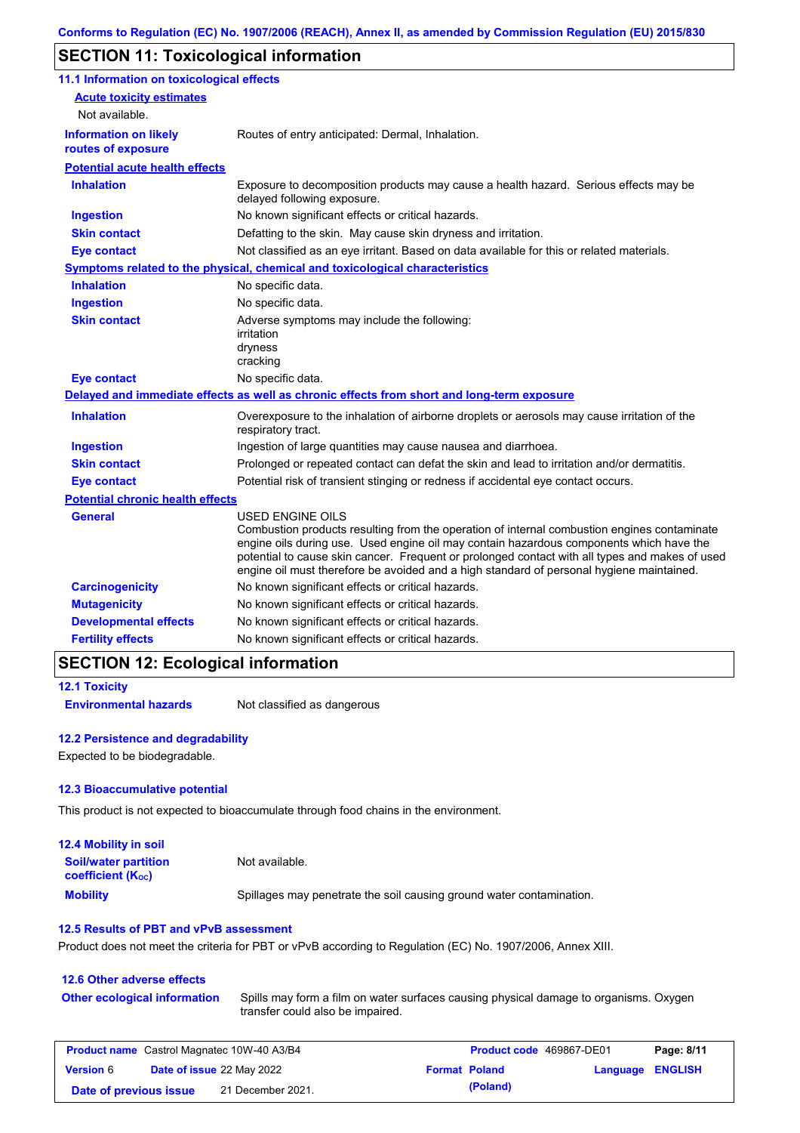## **SECTION 11: Toxicological information**

| 11.1 Information on toxicological effects          |                                                                                                                                                                                                                                                                                                                                                                                                                 |
|----------------------------------------------------|-----------------------------------------------------------------------------------------------------------------------------------------------------------------------------------------------------------------------------------------------------------------------------------------------------------------------------------------------------------------------------------------------------------------|
| <b>Acute toxicity estimates</b>                    |                                                                                                                                                                                                                                                                                                                                                                                                                 |
| Not available.                                     |                                                                                                                                                                                                                                                                                                                                                                                                                 |
| <b>Information on likely</b><br>routes of exposure | Routes of entry anticipated: Dermal, Inhalation.                                                                                                                                                                                                                                                                                                                                                                |
| <b>Potential acute health effects</b>              |                                                                                                                                                                                                                                                                                                                                                                                                                 |
| <b>Inhalation</b>                                  | Exposure to decomposition products may cause a health hazard. Serious effects may be<br>delayed following exposure.                                                                                                                                                                                                                                                                                             |
| <b>Ingestion</b>                                   | No known significant effects or critical hazards.                                                                                                                                                                                                                                                                                                                                                               |
| <b>Skin contact</b>                                | Defatting to the skin. May cause skin dryness and irritation.                                                                                                                                                                                                                                                                                                                                                   |
| <b>Eye contact</b>                                 | Not classified as an eye irritant. Based on data available for this or related materials.                                                                                                                                                                                                                                                                                                                       |
|                                                    | Symptoms related to the physical, chemical and toxicological characteristics                                                                                                                                                                                                                                                                                                                                    |
| <b>Inhalation</b>                                  | No specific data.                                                                                                                                                                                                                                                                                                                                                                                               |
| <b>Ingestion</b>                                   | No specific data.                                                                                                                                                                                                                                                                                                                                                                                               |
| <b>Skin contact</b>                                | Adverse symptoms may include the following:<br>irritation<br>dryness<br>cracking                                                                                                                                                                                                                                                                                                                                |
| <b>Eye contact</b>                                 | No specific data.                                                                                                                                                                                                                                                                                                                                                                                               |
|                                                    | Delayed and immediate effects as well as chronic effects from short and long-term exposure                                                                                                                                                                                                                                                                                                                      |
| <b>Inhalation</b>                                  | Overexposure to the inhalation of airborne droplets or aerosols may cause irritation of the<br>respiratory tract.                                                                                                                                                                                                                                                                                               |
| <b>Ingestion</b>                                   | Ingestion of large quantities may cause nausea and diarrhoea.                                                                                                                                                                                                                                                                                                                                                   |
| <b>Skin contact</b>                                | Prolonged or repeated contact can defat the skin and lead to irritation and/or dermatitis.                                                                                                                                                                                                                                                                                                                      |
| <b>Eye contact</b>                                 | Potential risk of transient stinging or redness if accidental eye contact occurs.                                                                                                                                                                                                                                                                                                                               |
| <b>Potential chronic health effects</b>            |                                                                                                                                                                                                                                                                                                                                                                                                                 |
| <b>General</b>                                     | <b>USED ENGINE OILS</b><br>Combustion products resulting from the operation of internal combustion engines contaminate<br>engine oils during use. Used engine oil may contain hazardous components which have the<br>potential to cause skin cancer. Frequent or prolonged contact with all types and makes of used<br>engine oil must therefore be avoided and a high standard of personal hygiene maintained. |
| <b>Carcinogenicity</b>                             | No known significant effects or critical hazards.                                                                                                                                                                                                                                                                                                                                                               |
| <b>Mutagenicity</b>                                | No known significant effects or critical hazards.                                                                                                                                                                                                                                                                                                                                                               |
| <b>Developmental effects</b>                       | No known significant effects or critical hazards.                                                                                                                                                                                                                                                                                                                                                               |
| <b>Fertility effects</b>                           | No known significant effects or critical hazards.                                                                                                                                                                                                                                                                                                                                                               |

### **SECTION 12: Ecological information**

```
12.1 Toxicity
```
**Environmental hazards** Not classified as dangerous

### **12.2 Persistence and degradability**

Expected to be biodegradable.

#### **12.3 Bioaccumulative potential**

This product is not expected to bioaccumulate through food chains in the environment.

| <b>12.4 Mobility in soil</b>                                  |                                                                      |
|---------------------------------------------------------------|----------------------------------------------------------------------|
| <b>Soil/water partition</b><br>coefficient (K <sub>oc</sub> ) | Not available.                                                       |
| <b>Mobility</b>                                               | Spillages may penetrate the soil causing ground water contamination. |

#### **12.5 Results of PBT and vPvB assessment**

Product does not meet the criteria for PBT or vPvB according to Regulation (EC) No. 1907/2006, Annex XIII.

#### **12.6 Other adverse effects** Spills may form a film on water surfaces causing physical damage to organisms. Oxygen transfer could also be impaired. **Other ecological information**

| <b>Product name</b> Castrol Magnatec 10W-40 A3/B4 |                                  |                   |  | <b>Product code</b> 469867-DE01 | Page: 8/11              |  |
|---------------------------------------------------|----------------------------------|-------------------|--|---------------------------------|-------------------------|--|
| <b>Version</b> 6                                  | <b>Date of issue 22 May 2022</b> |                   |  | <b>Format Poland</b>            | <b>Language ENGLISH</b> |  |
| Date of previous issue                            |                                  | 21 December 2021. |  | (Poland)                        |                         |  |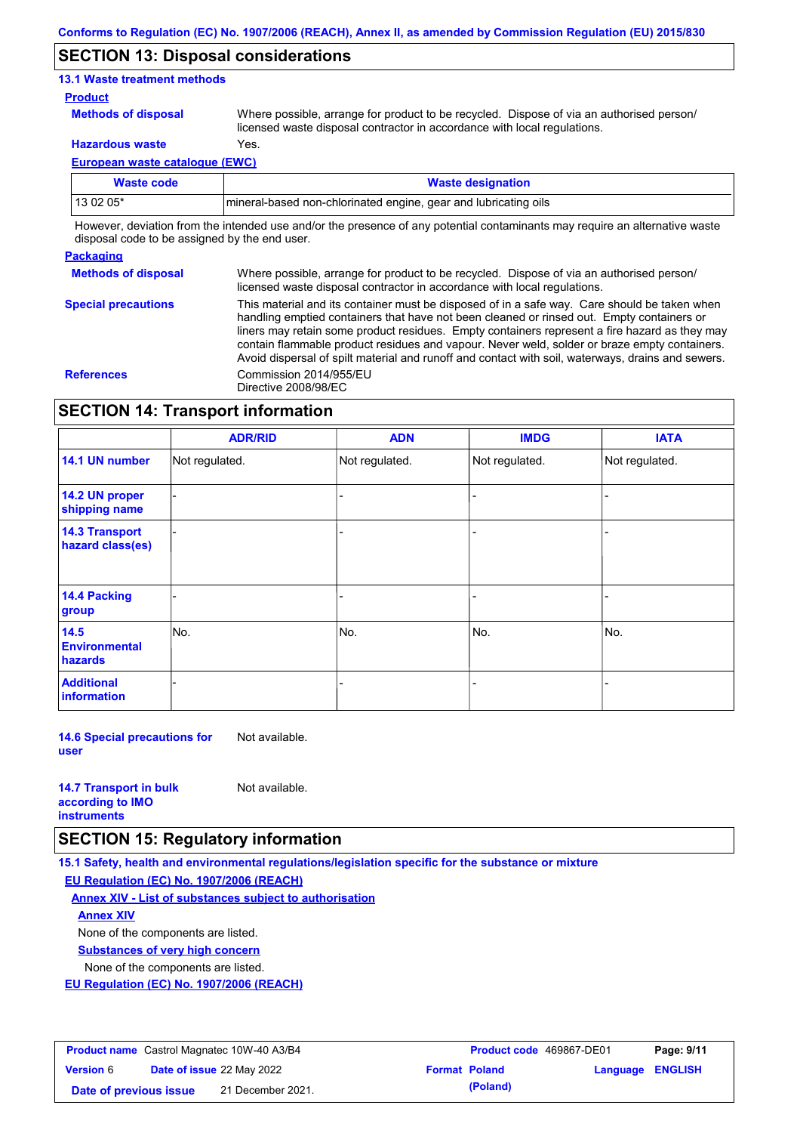### **SECTION 13: Disposal considerations**

### **13.1 Waste treatment methods**

#### **Product**

**Methods of disposal**

Where possible, arrange for product to be recycled. Dispose of via an authorised person/ licensed waste disposal contractor in accordance with local regulations.

**Hazardous waste** Yes.

**European waste catalogue (EWC)**

| Waste code | <b>Waste designation</b>                                         |
|------------|------------------------------------------------------------------|
| 13 02 05*  | Imineral-based non-chlorinated engine, gear and lubricating oils |

However, deviation from the intended use and/or the presence of any potential contaminants may require an alternative waste disposal code to be assigned by the end user.

#### **Packaging**

**Methods of disposal** Where possible, arrange for product to be recycled. Dispose of via an authorised person/ licensed waste disposal contractor in accordance with local regulations.

**Special precautions** This material and its container must be disposed of in a safe way. Care should be taken when handling emptied containers that have not been cleaned or rinsed out. Empty containers or liners may retain some product residues. Empty containers represent a fire hazard as they may contain flammable product residues and vapour. Never weld, solder or braze empty containers. Avoid dispersal of spilt material and runoff and contact with soil, waterways, drains and sewers. **References** Commission 2014/955/EU Directive 2008/98/EC

### **SECTION 14: Transport information**

|                                                | <b>ADR/RID</b> | <b>ADN</b>     | <b>IMDG</b>    | <b>IATA</b>    |
|------------------------------------------------|----------------|----------------|----------------|----------------|
| 14.1 UN number                                 | Not regulated. | Not regulated. | Not regulated. | Not regulated. |
| 14.2 UN proper<br>shipping name                |                |                |                |                |
| <b>14.3 Transport</b><br>hazard class(es)      |                |                |                |                |
| 14.4 Packing<br>group                          |                |                |                |                |
| 14.5<br><b>Environmental</b><br><b>hazards</b> | No.            | No.            | No.            | No.            |
| <b>Additional</b><br>information               |                |                |                |                |

**14.6 Special precautions for user** Not available.

| <b>14.7 Transport in bulk</b> | Not available. |
|-------------------------------|----------------|
| according to <b>IMO</b>       |                |
| <b>instruments</b>            |                |

### **SECTION 15: Regulatory information**

**15.1 Safety, health and environmental regulations/legislation specific for the substance or mixture**

**EU Regulation (EC) No. 1907/2006 (REACH)**

**Annex XIV - List of substances subject to authorisation**

**Annex XIV**

None of the components are listed.

**Substances of very high concern**

None of the components are listed.

**EU Regulation (EC) No. 1907/2006 (REACH)**

| <b>Product name</b> Castrol Magnatec 10W-40 A3/B4 |  |                                  | <b>Product code</b> 469867-DE01 | Page: 9/11 |                         |  |
|---------------------------------------------------|--|----------------------------------|---------------------------------|------------|-------------------------|--|
| <b>Version</b> 6                                  |  | <b>Date of issue 22 May 2022</b> | <b>Format Poland</b>            |            | <b>Language ENGLISH</b> |  |
| Date of previous issue                            |  | 21 December 2021.                |                                 | (Poland)   |                         |  |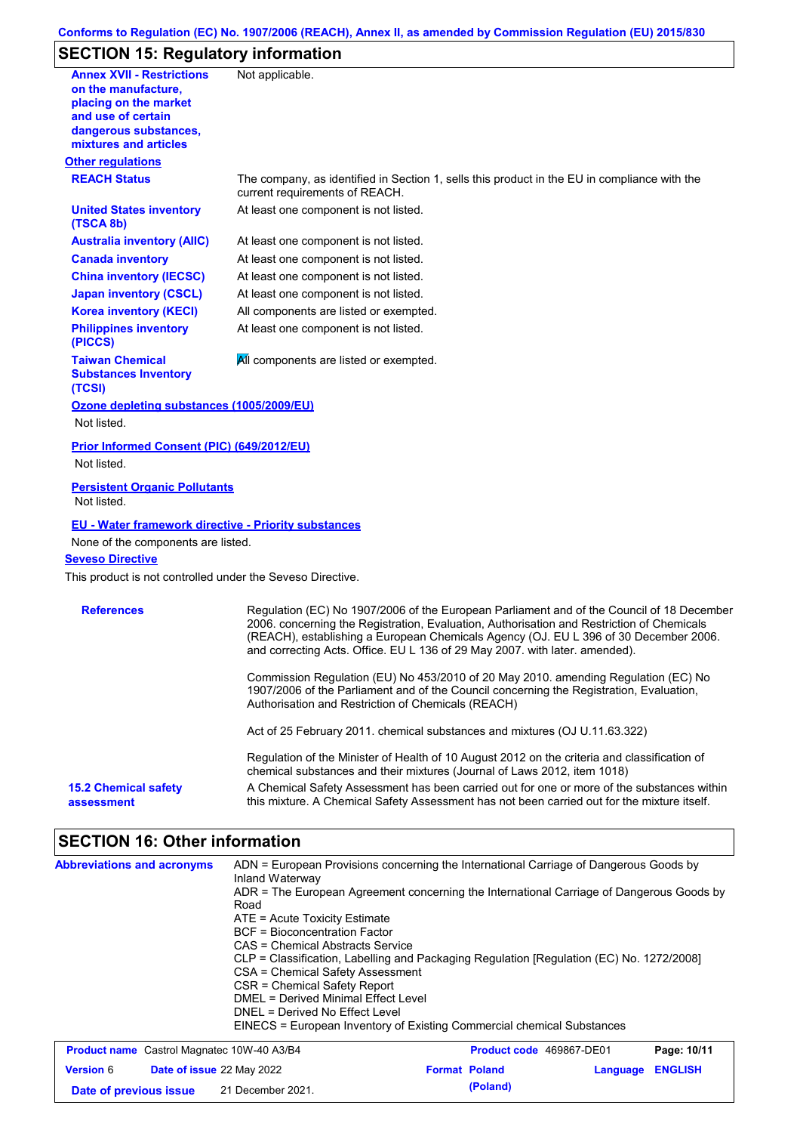# **SECTION 15: Regulatory information**

| <b>Annex XVII - Restrictions</b><br>on the manufacture,          | Not applicable.                                                                                                                                                                                                                                                                                                                                               |
|------------------------------------------------------------------|---------------------------------------------------------------------------------------------------------------------------------------------------------------------------------------------------------------------------------------------------------------------------------------------------------------------------------------------------------------|
| placing on the market<br>and use of certain                      |                                                                                                                                                                                                                                                                                                                                                               |
| dangerous substances,<br>mixtures and articles                   |                                                                                                                                                                                                                                                                                                                                                               |
| <b>Other regulations</b>                                         |                                                                                                                                                                                                                                                                                                                                                               |
| <b>REACH Status</b>                                              | The company, as identified in Section 1, sells this product in the EU in compliance with the<br>current requirements of REACH.                                                                                                                                                                                                                                |
| <b>United States inventory</b><br>(TSCA 8b)                      | At least one component is not listed.                                                                                                                                                                                                                                                                                                                         |
| <b>Australia inventory (AIIC)</b>                                | At least one component is not listed.                                                                                                                                                                                                                                                                                                                         |
| <b>Canada inventory</b>                                          | At least one component is not listed.                                                                                                                                                                                                                                                                                                                         |
| <b>China inventory (IECSC)</b>                                   | At least one component is not listed.                                                                                                                                                                                                                                                                                                                         |
| <b>Japan inventory (CSCL)</b>                                    | At least one component is not listed.                                                                                                                                                                                                                                                                                                                         |
| <b>Korea inventory (KECI)</b>                                    | All components are listed or exempted.                                                                                                                                                                                                                                                                                                                        |
| <b>Philippines inventory</b><br>(PICCS)                          | At least one component is not listed.                                                                                                                                                                                                                                                                                                                         |
| <b>Taiwan Chemical</b><br><b>Substances Inventory</b><br>(TCSI)  | All components are listed or exempted.                                                                                                                                                                                                                                                                                                                        |
| Ozone depleting substances (1005/2009/EU)                        |                                                                                                                                                                                                                                                                                                                                                               |
| Not listed.                                                      |                                                                                                                                                                                                                                                                                                                                                               |
| <b>Prior Informed Consent (PIC) (649/2012/EU)</b><br>Not listed. |                                                                                                                                                                                                                                                                                                                                                               |
| <b>Persistent Organic Pollutants</b><br>Not listed.              |                                                                                                                                                                                                                                                                                                                                                               |
| <b>EU - Water framework directive - Priority substances</b>      |                                                                                                                                                                                                                                                                                                                                                               |
| None of the components are listed.                               |                                                                                                                                                                                                                                                                                                                                                               |
| <b>Seveso Directive</b>                                          |                                                                                                                                                                                                                                                                                                                                                               |
| This product is not controlled under the Seveso Directive.       |                                                                                                                                                                                                                                                                                                                                                               |
| <b>References</b>                                                | Regulation (EC) No 1907/2006 of the European Parliament and of the Council of 18 December<br>2006. concerning the Registration, Evaluation, Authorisation and Restriction of Chemicals<br>(REACH), establishing a European Chemicals Agency (OJ. EU L 396 of 30 December 2006.<br>and correcting Acts. Office. EU L 136 of 29 May 2007. with later. amended). |
|                                                                  | Commission Regulation (EU) No 453/2010 of 20 May 2010. amending Regulation (EC) No<br>1907/2006 of the Parliament and of the Council concerning the Registration, Evaluation,<br>Authorisation and Restriction of Chemicals (REACH)                                                                                                                           |
|                                                                  | Act of 25 February 2011. chemical substances and mixtures (OJ U.11.63.322)                                                                                                                                                                                                                                                                                    |
|                                                                  | Regulation of the Minister of Health of 10 August 2012 on the criteria and classification of                                                                                                                                                                                                                                                                  |
|                                                                  | chemical substances and their mixtures (Journal of Laws 2012, item 1018)                                                                                                                                                                                                                                                                                      |

# **SECTION 16: Other information**

| <b>Abbreviations and acronyms</b>                        | ADN = European Provisions concerning the International Carriage of Dangerous Goods by<br>Inland Waterway<br>ADR = The European Agreement concerning the International Carriage of Dangerous Goods by<br>Road<br>$ATE = Acute Toxicity Estimate$<br><b>BCF</b> = Bioconcentration Factor<br>CAS = Chemical Abstracts Service<br>CLP = Classification, Labelling and Packaging Regulation [Regulation (EC) No. 1272/2008]<br>CSA = Chemical Safety Assessment |                          |                          |             |  |
|----------------------------------------------------------|-------------------------------------------------------------------------------------------------------------------------------------------------------------------------------------------------------------------------------------------------------------------------------------------------------------------------------------------------------------------------------------------------------------------------------------------------------------|--------------------------|--------------------------|-------------|--|
|                                                          |                                                                                                                                                                                                                                                                                                                                                                                                                                                             |                          |                          |             |  |
|                                                          |                                                                                                                                                                                                                                                                                                                                                                                                                                                             |                          |                          |             |  |
|                                                          |                                                                                                                                                                                                                                                                                                                                                                                                                                                             |                          |                          |             |  |
|                                                          |                                                                                                                                                                                                                                                                                                                                                                                                                                                             |                          |                          |             |  |
|                                                          | CSR = Chemical Safety Report                                                                                                                                                                                                                                                                                                                                                                                                                                |                          |                          |             |  |
|                                                          | DMFL = Derived Minimal Fffect Level                                                                                                                                                                                                                                                                                                                                                                                                                         |                          |                          |             |  |
|                                                          | DNEL = Derived No Effect Level                                                                                                                                                                                                                                                                                                                                                                                                                              |                          |                          |             |  |
|                                                          | EINECS = European Inventory of Existing Commercial chemical Substances                                                                                                                                                                                                                                                                                                                                                                                      |                          |                          |             |  |
| <b>Product name</b> Castrol Magnatec 10W-40 A3/B4        |                                                                                                                                                                                                                                                                                                                                                                                                                                                             | Product code 469867-DE01 |                          | Page: 10/11 |  |
| $\frac{1}{2}$<br>$P_{\text{obs}}$ of inquire 22 Mey 2022 |                                                                                                                                                                                                                                                                                                                                                                                                                                                             | Essessi Baland           | <b>LABRICANA EMPLICU</b> |             |  |

| <b>Version</b> 6       | <b>Date of issue 22 May 2022</b> | <b>Format Poland</b> | <b>Language ENGLISH</b> |  |
|------------------------|----------------------------------|----------------------|-------------------------|--|
| Date of previous issue | 21 December 2021.                | (Poland)             |                         |  |